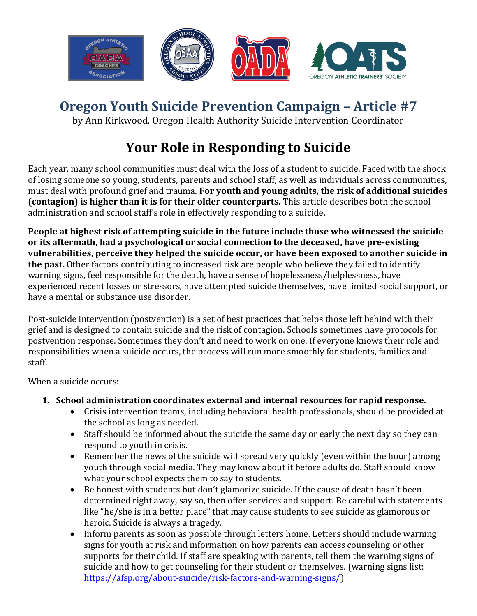

# **Oregon Youth Suicide Prevention Campaign – Article #7**

by Ann Kirkwood, Oregon Health Authority Suicide Intervention Coordinator

# **Your Role in Responding to Suicide**

Each year, many school communities must deal with the loss of a student to suicide. Faced with the shock of losing someone so young, students, parents and school staff, as well as individuals across communities, must deal with profound grief and trauma. **For youth and young adults, the risk of additional suicides (contagion) is higher than it is for their older counterparts.** This article describes both the school administration and school staff's role in effectively responding to a suicide.

**People at highest risk of attempting suicide in the future include those who witnessed the suicide or its aftermath, had a psychological or social connection to the deceased, have pre-existing vulnerabilities, perceive they helped the suicide occur, or have been exposed to another suicide in the past.** Other factors contributing to increased risk are people who believe they failed to identify warning signs, feel responsible for the death, have a sense of hopelessness/helplessness, have experienced recent losses or stressors, have attempted suicide themselves, have limited social support, or have a mental or substance use disorder.

Post-suicide intervention (postvention) is a set of best practices that helps those left behind with their grief and is designed to contain suicide and the risk of contagion. Schools sometimes have protocols for postvention response. Sometimes they don't and need to work on one. If everyone knows their role and responsibilities when a suicide occurs, the process will run more smoothly for students, families and staff.

When a suicide occurs:

- **1. School administration coordinates external and internal resources for rapid response.**
	- Crisis intervention teams, including behavioral health professionals, should be provided at the school as long as needed.
	- Staff should be informed about the suicide the same day or early the next day so they can respond to youth in crisis.
	- Remember the news of the suicide will spread very quickly (even within the hour) among youth through social media. They may know about it before adults do. Staff should know what your school expects them to say to students.
	- Be honest with students but don't glamorize suicide. If the cause of death hasn't been determined right away, say so, then offer services and support. Be careful with statements like "he/she is in a better place" that may cause students to see suicide as glamorous or heroic. Suicide is always a tragedy.
	- Inform parents as soon as possible through letters home. Letters should include warning signs for youth at risk and information on how parents can access counseling or other supports for their child. If staff are speaking with parents, tell them the warning signs of suicide and how to get counseling for their student or themselves. (warning signs list: [https://afsp.org/about-suicide/risk-factors-and-warning-signs/\)](https://afsp.org/about-suicide/risk-factors-and-warning-signs/)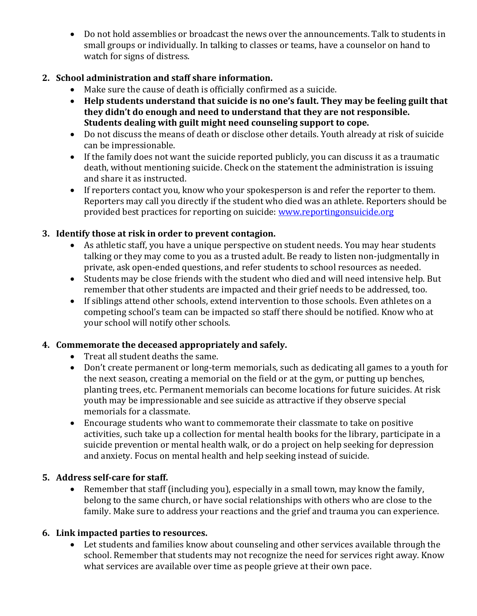Do not hold assemblies or broadcast the news over the announcements. Talk to students in small groups or individually. In talking to classes or teams, have a counselor on hand to watch for signs of distress.

#### **2. School administration and staff share information.**

- Make sure the cause of death is officially confirmed as a suicide.
- **Help students understand that suicide is no one's fault. They may be feeling guilt that they didn't do enough and need to understand that they are not responsible. Students dealing with guilt might need counseling support to cope.**
- Do not discuss the means of death or disclose other details. Youth already at risk of suicide can be impressionable.
- If the family does not want the suicide reported publicly, you can discuss it as a traumatic death, without mentioning suicide. Check on the statement the administration is issuing and share it as instructed.
- If reporters contact you, know who your spokesperson is and refer the reporter to them. Reporters may call you directly if the student who died was an athlete. Reporters should be provided best practices for reporting on suicide: [www.reportingonsuicide.org](http://www.reportingonsuicide.org/)

### **3. Identify those at risk in order to prevent contagion.**

- As athletic staff, you have a unique perspective on student needs. You may hear students talking or they may come to you as a trusted adult. Be ready to listen non-judgmentally in private, ask open-ended questions, and refer students to school resources as needed.
- Students may be close friends with the student who died and will need intensive help. But remember that other students are impacted and their grief needs to be addressed, too.
- If siblings attend other schools, extend intervention to those schools. Even athletes on a competing school's team can be impacted so staff there should be notified. Know who at your school will notify other schools.

### **4. Commemorate the deceased appropriately and safely.**

- Treat all student deaths the same.
- Don't create permanent or long-term memorials, such as dedicating all games to a youth for the next season, creating a memorial on the field or at the gym, or putting up benches, planting trees, etc. Permanent memorials can become locations for future suicides. At risk youth may be impressionable and see suicide as attractive if they observe special memorials for a classmate.
- Encourage students who want to commemorate their classmate to take on positive activities, such take up a collection for mental health books for the library, participate in a suicide prevention or mental health walk, or do a project on help seeking for depression and anxiety. Focus on mental health and help seeking instead of suicide.

#### **5. Address self-care for staff.**

 Remember that staff (including you), especially in a small town, may know the family, belong to the same church, or have social relationships with others who are close to the family. Make sure to address your reactions and the grief and trauma you can experience.

### **6. Link impacted parties to resources.**

 Let students and families know about counseling and other services available through the school. Remember that students may not recognize the need for services right away. Know what services are available over time as people grieve at their own pace.